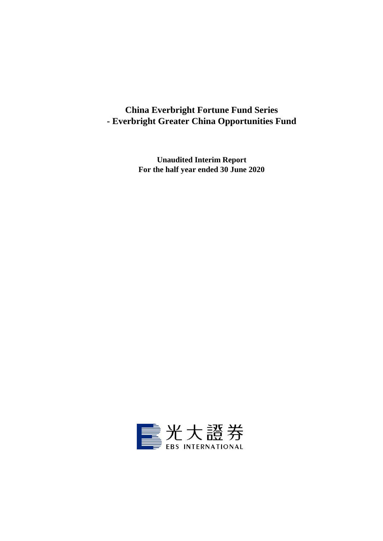# **China Everbright Fortune Fund Series - Everbright Greater China Opportunities Fund**

**Unaudited Interim Report For the half year ended 30 June 2020**

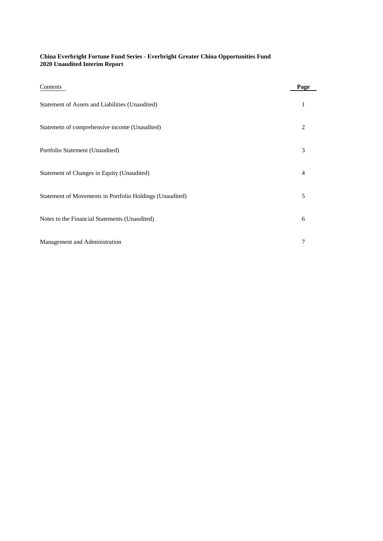### **China Everbright Fortune Fund Series - Everbright Greater China Opportunities Fund 2020 Unaudited Interim Report**

| Contents                                                 | Page           |
|----------------------------------------------------------|----------------|
| Statement of Assets and Liabilities (Unaudited)          | 1              |
| Statemeth of comprehensive income (Unaudited)            | $\overline{c}$ |
| Portfolio Statement (Unaudited)                          | 3              |
| Statement of Changes in Equity (Unaudited)               | $\overline{4}$ |
| Statement of Movements in Portfolio Holdings (Unaudited) | 5              |
| Notes to the Financial Statements (Unaudited)            | 6              |
| Management and Administration                            | 7              |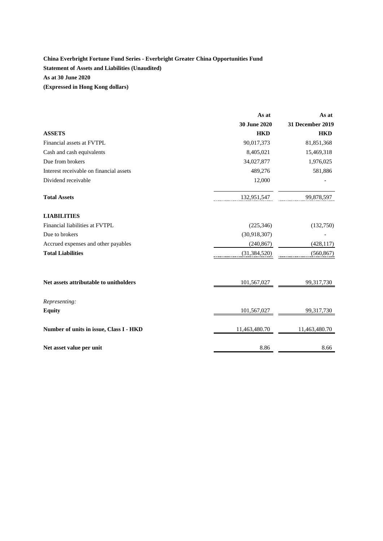## **China Everbright Fortune Fund Series - Everbright Greater China Opportunities Fund Statement of Assets and Liabilities (Unaudited) As at 30 June 2020 (Expressed in Hong Kong dollars)**

|                                         | As at          | As at                   |
|-----------------------------------------|----------------|-------------------------|
|                                         | 30 June 2020   | <b>31 December 2019</b> |
| <b>ASSETS</b>                           | <b>HKD</b>     | <b>HKD</b>              |
| Financial assets at FVTPL               | 90,017,373     | 81,851,368              |
| Cash and cash equivalents               | 8,405,021      | 15,469,318              |
| Due from brokers                        | 34,027,877     | 1,976,025               |
| Interest receivable on financial assets | 489,276        | 581,886                 |
| Dividend receivable                     | 12,000         |                         |
| <b>Total Assets</b>                     | 132,951,547    | 99,878,597              |
| <b>LIABILITIES</b>                      |                |                         |
| Financial liabilities at FVTPL          | (225, 346)     | (132,750)               |
| Due to brokers                          | (30,918,307)   |                         |
| Accrued expenses and other payables     | (240, 867)     | (428, 117)              |
| <b>Total Liabilities</b>                | (31, 384, 520) | (560, 867)              |
| Net assets attributable to unitholders  | 101,567,027    | 99,317,730              |
| Representing:                           |                |                         |
| <b>Equity</b>                           | 101,567,027    | 99,317,730              |
| Number of units in issue, Class I - HKD | 11,463,480.70  | 11,463,480.70           |
| Net asset value per unit                | 8.86           | 8.66                    |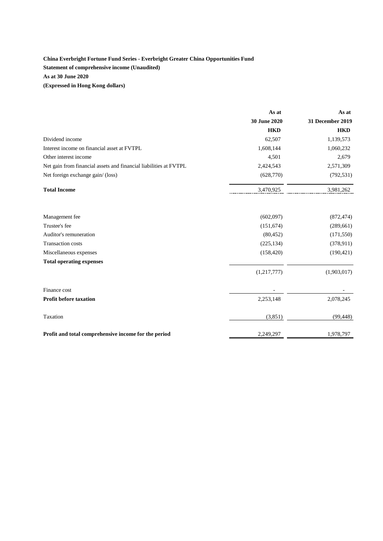### **China Everbright Fortune Fund Series - Everbright Greater China Opportunities Fund Statement of comprehensive income (Unaudited) As at 30 June 2020 (Expressed in Hong Kong dollars)**

As at **As at 30 June 2020 31 December 2019 HKD HKD** Dividend income 62,507 1,139,573 Interest income on financial asset at FVTPL 1,608,144 1,060,232 Other interest income 2,509 Net gain from financial assets and financial liabilities at FVTPL 2,424,543 2,571,309 Net foreign exchange gain/ (loss) (628,770) (792,531) **Total Income** 3,470,925 3,981,262 Management fee (602,097) (872,474) Trustee's fee  $(151,674)$   $(289,661)$ Auditor's remuneration (80,452) (171,550) Transaction costs (225,134) (378,911) (378,911) Miscellaneous expenses (158,420) (190,421) **Total operating expenses**  $(1,217,777)$   $(1,903,017)$ Finance cost **Finance** cost **Profit before taxation** 2,253,148 2,078,245  $T$ axation (3,851) (99,448) **Profit and total comprehensive income for the period** 2,249,297 1,978,797 1,978,797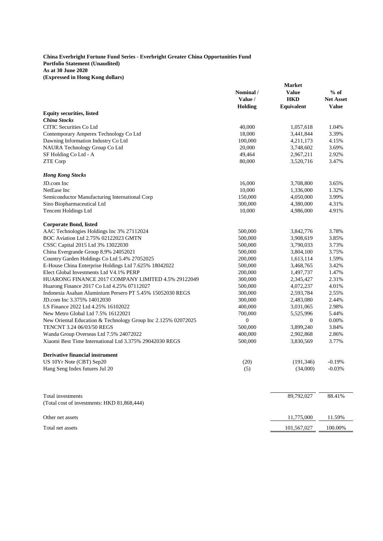#### **China Everbright Fortune Fund Series - Everbright Greater China Opportunities Fund Portfolio Statement (Unaudited) As at 30 June 2020 (Expressed in Hong Kong dollars)**

| <b>Value</b><br>Nominal /<br><b>HKD</b><br>Value /<br><b>Holding</b><br><b>Equivalent</b><br><b>Equity securities, listed</b><br><b>China Stocks</b><br><b>CITIC Securities Co Ltd</b><br>40,000<br>1,057,618 | $%$ of<br><b>Net Asset</b><br><b>Value</b><br>1.04%<br>3.39%<br>4.15%<br>3.69%<br>2.92%<br>3.47% |
|---------------------------------------------------------------------------------------------------------------------------------------------------------------------------------------------------------------|--------------------------------------------------------------------------------------------------|
|                                                                                                                                                                                                               |                                                                                                  |
|                                                                                                                                                                                                               |                                                                                                  |
|                                                                                                                                                                                                               |                                                                                                  |
|                                                                                                                                                                                                               |                                                                                                  |
|                                                                                                                                                                                                               |                                                                                                  |
|                                                                                                                                                                                                               |                                                                                                  |
| Contemporary Amperex Technology Co Ltd<br>18,000<br>3,441,844                                                                                                                                                 |                                                                                                  |
| Dawning Information Industry Co Ltd<br>100,000<br>4,211,173                                                                                                                                                   |                                                                                                  |
| NAURA Technology Group Co Ltd<br>20,000<br>3,748,602                                                                                                                                                          |                                                                                                  |
| SF Holding Co Ltd - A<br>49,464<br>2,967,211                                                                                                                                                                  |                                                                                                  |
| ZTE Corp<br>80,000<br>3,520,716                                                                                                                                                                               |                                                                                                  |
|                                                                                                                                                                                                               |                                                                                                  |
| <b>Hong Kong Stocks</b>                                                                                                                                                                                       |                                                                                                  |
| JD.com Inc<br>16,000<br>3,708,800                                                                                                                                                                             | 3.65%                                                                                            |
| NetEase Inc<br>10,000<br>1,336,000                                                                                                                                                                            | 1.32%                                                                                            |
| Semiconductor Manufacturing International Corp<br>150,000<br>4,050,000                                                                                                                                        | 3.99%                                                                                            |
| Sino Biopharmaceutical Ltd<br>300,000<br>4,380,000                                                                                                                                                            | 4.31%                                                                                            |
| Tencent Holdings Ltd<br>10,000<br>4,986,000                                                                                                                                                                   | 4.91%                                                                                            |
|                                                                                                                                                                                                               |                                                                                                  |
| <b>Corporate Bond, listed</b>                                                                                                                                                                                 |                                                                                                  |
| AAC Technologies Holdings Inc 3% 27112024<br>500,000<br>3,842,776                                                                                                                                             | 3.78%                                                                                            |
| BOC Aviation Ltd 2.75% 02122023 GMTN<br>500,000<br>3,908,619                                                                                                                                                  | 3.85%                                                                                            |
| CSSC Capital 2015 Ltd 3% 13022030<br>500,000<br>3,790,033                                                                                                                                                     | 3.73%                                                                                            |
| China Evergrande Group 8.9% 24052021<br>500,000<br>3,804,100                                                                                                                                                  | 3.75%                                                                                            |
| Country Garden Holdings Co Ltd 5.4% 27052025<br>200,000<br>1,613,114                                                                                                                                          | 1.59%                                                                                            |
| E-House China Enterprise Holdings Ltd 7.625% 18042022<br>3,468,765<br>500,000                                                                                                                                 | 3.42%                                                                                            |
| Elect Global Investments Ltd V4.1% PERP<br>200,000<br>1,497,737                                                                                                                                               | 1.47%                                                                                            |
| HUARONG FINANCE 2017 COMPANY LIMITED 4.5% 29122049<br>300,000<br>2,345,427                                                                                                                                    | 2.31%                                                                                            |
| Huarong Finance 2017 Co Ltd 4.25% 07112027<br>4,072,237<br>500,000                                                                                                                                            | 4.01%                                                                                            |
| Indonesia Asahan Aluminium Persero PT 5.45% 15052030 REGS<br>300,000<br>2,593,784                                                                                                                             | 2.55%                                                                                            |
| JD.com Inc 3.375% 14012030<br>2,483,080<br>300,000                                                                                                                                                            | 2.44%                                                                                            |
| LS Finance 2022 Ltd 4.25% 16102022<br>400,000<br>3,031,065                                                                                                                                                    | 2.98%                                                                                            |
| New Metro Global Ltd 7.5% 16122021<br>700,000<br>5,525,996                                                                                                                                                    | 5.44%                                                                                            |
| $\boldsymbol{0}$<br>New Oriental Education & Technology Group Inc 2.125% 02072025<br>$\boldsymbol{0}$                                                                                                         | 0.00%                                                                                            |
| 3,899,240<br>TENCNT 3.24 06/03/50 REGS<br>500,000                                                                                                                                                             | 3.84%                                                                                            |
| Wanda Group Overseas Ltd 7.5% 24072022<br>400,000<br>2,902,868                                                                                                                                                | 2.86%                                                                                            |
| Xiaomi Best Time International Ltd 3.375% 29042030 REGS<br>500,000<br>3,830,569                                                                                                                               | 3.77%                                                                                            |
|                                                                                                                                                                                                               |                                                                                                  |
| <b>Derivative financial instrument</b>                                                                                                                                                                        |                                                                                                  |
| US 10Yr Note (CBT) Sep20<br>(20)<br>(191, 346)                                                                                                                                                                | $-0.19%$                                                                                         |
| (5)<br>Hang Seng Index futures Jul 20<br>(34,000)                                                                                                                                                             | $-0.03%$                                                                                         |
|                                                                                                                                                                                                               |                                                                                                  |
| 89,792,027<br>Total investments                                                                                                                                                                               | 88.41%                                                                                           |
| (Total cost of investments: HKD 81,868,444)                                                                                                                                                                   |                                                                                                  |
| Other net assets<br>11,775,000                                                                                                                                                                                | 11.59%                                                                                           |
| Total net assets<br>101,567,027                                                                                                                                                                               | 100.00%                                                                                          |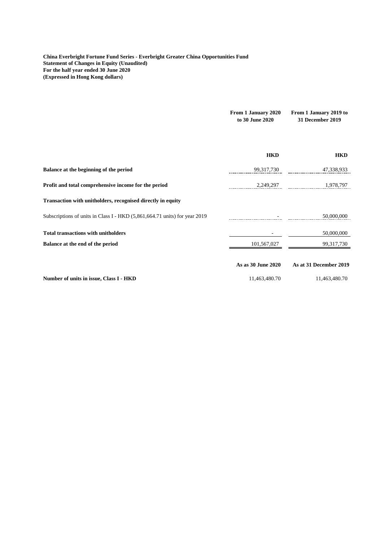**China Everbright Fortune Fund Series - Everbright Greater China Opportunities Fund Statement of Changes in Equity (Unaudited) For the half year ended 30 June 2020 (Expressed in Hong Kong dollars)**

|                                                                            | From 1 January 2020<br>to 30 June 2020 | From 1 January 2019 to<br><b>31 December 2019</b> |
|----------------------------------------------------------------------------|----------------------------------------|---------------------------------------------------|
|                                                                            | <b>HKD</b>                             | <b>HKD</b>                                        |
| Balance at the beginning of the period                                     | 99,317,730                             | 47,338,933                                        |
| Profit and total comprehensive income for the period                       | 2,249,297                              | 1.978.797                                         |
| Transaction with unitholders, recognised directly in equity                |                                        |                                                   |
| Subscriptions of units in Class I - HKD (5,861,664.71 units) for year 2019 |                                        | 50,000,000                                        |
| <b>Total transactions with unitholders</b>                                 |                                        | 50,000,000                                        |
| Balance at the end of the period                                           | 101,567,027                            | 99,317,730                                        |
|                                                                            | As as 30 June 2020                     | As at 31 December 2019                            |
| Number of units in issue, Class I - HKD                                    | 11,463,480.70                          | 11,463,480.70                                     |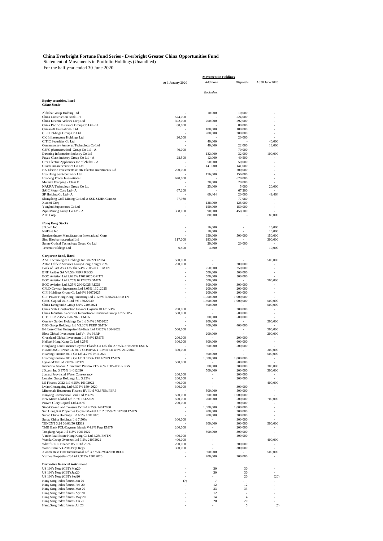#### **China Everbright Fortune Fund Series - Everbright Greater China Opportunities Fund**

 Statement of Movements in Portfolio Holdings (Unaudited) For the half year ended 30 June 2020

|                                                                                                  | <b>Movement in Holdings</b> |                      |                                     |                    |
|--------------------------------------------------------------------------------------------------|-----------------------------|----------------------|-------------------------------------|--------------------|
|                                                                                                  | At 1 January 2020           | Additions            | Disposals                           | At 30 June 2020    |
|                                                                                                  |                             |                      |                                     |                    |
|                                                                                                  |                             | Equivalent           |                                     |                    |
| <b>Equity securities, listed</b>                                                                 |                             |                      |                                     |                    |
| <b>China Stocks</b>                                                                              |                             |                      |                                     |                    |
| Alibaba Group Holding Ltd                                                                        | 524,000                     | 10,000               | 10,000<br>524,000                   |                    |
| China Construction Bank - H<br>China Eastern Airlines Corp Ltd                                   | 392,000                     | 200,000              | 592,000                             |                    |
| China Pacific Insurance Group Co Ltd - H                                                         | 80,000                      |                      | 80,000                              |                    |
| Chinasoft International Ltd<br>CIFI Holdings Group Co Ltd                                        |                             | 180,000<br>200,000   | 180,000<br>200,000                  |                    |
| CK Infrastructure Holdings Ltd                                                                   | 20,000                      |                      | 20,000                              |                    |
| CITIC Securities Co Ltd                                                                          |                             | 40,000               |                                     | 40,000             |
| Contemporary Amperex Technology Co Ltd<br>CSPC pharmaceutical Group Co Ltd - A                   | 70,000                      | 40,000               | 22,000<br>70,000                    | 18,000             |
| Dawning Information Industry Co Ltd                                                              |                             | 132,000              | 32,000                              | 100,000            |
| Fuyao Glass industry Group Co Ltd - A                                                            | 28,500                      | 12,000               | 40,500                              |                    |
| Gree Electric Appliances Inc of Zhuhai - A<br>Guotai Junan Securities Co Ltd                     |                             | 50,000<br>141,000    | 50,000<br>141,000                   |                    |
| HK Electric Investments & HK Electric Investments Ltd                                            | 200,000                     |                      | 200,000                             |                    |
| Hua Hong Semiconductor Ltd                                                                       |                             | 156,000              | 156,000                             |                    |
| Huaneng Power International<br>Meituan Dianping - Class B                                        | 620,000                     | 20,000               | 620,000<br>20,000                   |                    |
| NAURA Technology Group Co Ltd                                                                    |                             | 25,000               | 5,000                               | 20,000             |
| SAIC Motor Corp Ltd - A                                                                          | 67,200                      |                      | 67,200                              |                    |
| SF Holding Co Ltd - A<br>Shangdong Gold Mining Co Ltd-A SSE-SEHK Connect                         | 77,980                      | 69,464               | 20,000<br>77,980                    | 49,464             |
| Xiaomi Corp                                                                                      |                             | 128,000              | 128,000                             |                    |
| Yonghui Superstores Co Ltd                                                                       |                             | 150,000              | 150,000                             |                    |
| Zijin Mining Group Co Ltd - A<br><b>ZTE Corp</b>                                                 | 368,100                     | 90,000<br>80,000     | 458,100                             | 80,000             |
|                                                                                                  |                             |                      |                                     |                    |
| <b>Hong Kong Stocks</b>                                                                          |                             |                      |                                     |                    |
| JD.com Inc<br>NetEase Inc                                                                        |                             | 16,000<br>10,000     |                                     | 16,000<br>10,000   |
| Semiconductor Manufacturing International Corp                                                   |                             | 650,000              | 500,000                             | 150,000            |
| Sino Biopharmaceutical Ltd                                                                       | 117,000                     | 183,000              |                                     | 300,000            |
| Sunny Optical Technology Group Co Ltd                                                            |                             | 20,000               | 20,000                              |                    |
| <b>Tencent Holdings Ltd</b>                                                                      | 6,500                       | 3,500                | ٠                                   | 10,000             |
| Corporate Bond, listed                                                                           |                             |                      |                                     |                    |
| AAC Technologies Holdings Inc 3% 27112024                                                        | 500,000                     |                      |                                     | 500,000            |
| Anton Oilfield Services Group/Hong Kong 9.75%<br>Bank of East Asia Ltd/The V4% 29052030 EMTN     | 200,000                     | 250,000              | 200,000<br>250,000                  |                    |
| BNP Paribas SA V4.5% PERP REGS                                                                   |                             | 500,000              | 500,000                             |                    |
| BOC Aviation Ltd 2.625% 17012025 GMTN                                                            |                             | 500,000              | 500,000                             |                    |
| BOC Aviation Ltd 2.75% 02122023 GMTN<br>BOC Aviation Ltd 3.25% 29042025 REGS                     |                             | 500,000<br>300,000   | 300,000                             | 500,000            |
| CFLD Cayman Investment Ltd 8.05% 13012025                                                        |                             | 200,000              | 200,000                             |                    |
| CIFI Holdings Group Co Ltd 6% 16072025                                                           |                             | 200,000              | 200,000                             |                    |
| CLP Power Hong Kong Financing Ltd 2.125% 30062030 EMTN                                           |                             | 1,000,000            | 1,000,000                           | 500,000            |
| CSSC Capital 2015 Ltd 3% 13022030<br>China Evergrande Group 8.9% 24052021                        |                             | 1,500,000<br>500,000 | 1,000,000                           | 500,000            |
| China State Construction Finance Cayman III Ltd V4%                                              | 200,000                     |                      | 200,000                             |                    |
| China Industrial Securities International Financial Group Ltd 5.00%                              | 500,000                     |                      | 500,000                             |                    |
| CITIC Ltd 2.45% 25022025 EMTN<br>Country Garden Holdings Co Ltd 5.4% 27052025                    |                             | 500,000<br>200,000   | 500,000<br>$\overline{\phantom{a}}$ | 200,000            |
| DBS Group Holdings Ltd V3.30% PERP GMTN                                                          |                             | 400,000              | 400,000                             |                    |
| E-House China Enterprise Holdings Ltd 7.625% 18042022                                            | 500,000                     |                      |                                     | 500,000            |
| Elect Global Investments Ltd V4.1% PERP<br>Greenland Global Investment Ltd 5.6% EMTN             | 200,000                     | 200,000              | 200,000                             | 200,000            |
| HeSteel Hong Kong Co Ltd 4.25%                                                                   | 300,000                     | 300,000              | 600,000                             |                    |
| Hongkong Land Finance Cayman Islands Co Ltd/The 2.875% 27052030 EMTN                             |                             | 500,000              | 500,000                             |                    |
| HUARONG FINANCE 2017 COMPANY LIMITED 4.5% 29122049<br>Huarong Finance 2017 Co Ltd 4.25% 07112027 | 300,000                     | 500,000              | $\overline{\phantom{a}}$<br>٠       | 300,000<br>500,000 |
| Huarong Finance 2019 Co Ltd 3.875% 13/11/2029 EMTN                                               |                             | 1,000,000            | 1,000,000                           | ٠                  |
| Hysan MTN Ltd 2.82% EMTN                                                                         | 500,000                     |                      | 500,000                             |                    |
| Indonesia Asahan Aluminium Persero PT 5.45% 15052030 REGS                                        |                             | 500,000              | 200,000                             | 300,000            |
| JD.com Inc 3.375% 14012030<br>Jiangxi Provincial Water Conservancy                               | 200,000                     | 500,000              | 200,000<br>200,000                  | 300,000            |
| Longfor Group Holdings Ltd 3.95%                                                                 | 200,000                     |                      | 200,000                             |                    |
| LS Finance 2022 Ltd 4.25% 16102022                                                               | 400,000                     |                      |                                     | 400,000            |
| Lv'an Chuangxing Ltd 6.375% 15042020<br>Minmetals Bounteous Finance BVI Ltd V3.375% PERP         | 300,000                     | 500,000              | 300,000<br>500,000                  |                    |
| Nanyang Commerical Bank Ltd V3.8%                                                                | 500,000                     | 500,000              | 1,000,000                           |                    |
| New Metro Global Ltd 7.5% 16122021                                                               | 500,000                     | 700,000              | 500,000                             | 700,000            |
| Proven Glory Capital Ltd 4.00%<br>Sino-Ocean Land Treasure IV Ltd 4.75% 14012030                 | 200,000                     | 1,000,000            | 200,000<br>1,000,000                |                    |
| Sun Hung Kai Properties Capital Market Ltd 2.875% 21012030 EMTN                                  |                             | 200,000              | 200,000                             |                    |
| Sunac China Holdings Ltd 6.5% 10012025                                                           |                             | 200,000              | 200,000                             |                    |
| Sunac China Holdings Ltd 7.50%<br>TENCNT 3.24 06/03/50 REGS                                      | 300,000                     | 800,000              | 300,000<br>300,000                  | 500,000            |
| TMB Bank PCL/Cayman Islands V4.9% Perp EMTN                                                      | 200,000                     |                      | 200,000                             |                    |
| Tongfang Aqua Ltd 6.8% 10012022                                                                  |                             | 300,000              | 300,000                             |                    |
| Vanke Real Estate Hong Kong Co Ltd 4.2% EMTN                                                     | 400,000                     |                      | 400,000                             | 400,000            |
| Wanda Group Overseas Ltd 7.5% 24072022<br>Wharf REIC Finance BVI LTd 2.5%                        | 400,000<br>200,000          |                      | 200,000                             |                    |
| Woori Bank V4.25% Perp Regs                                                                      | 300,000                     |                      | 300,000                             |                    |
| Xiaomi Best Time International Ltd 3.375% 29042030 REGS                                          |                             | 500,000              |                                     | 500,000            |
| Yuzhou Properties Co Ltd 7.375% 13012026                                                         |                             | 200,000              | 200,000                             |                    |
| <b>Derivative financial instrument</b>                                                           |                             |                      |                                     |                    |
| US 10Yr Note (CBT) Mar20                                                                         |                             | 30                   | 30                                  |                    |
| US 10Yr Note (CBT) Jun20                                                                         |                             | 30                   | 30                                  |                    |
| US 10Yr Note (CBT) Sep20<br>Hang Seng Index futures Jan 20                                       | (7)                         | $\overline{7}$       | 20                                  | (20)               |
| Hang Seng Index futures Feb 20                                                                   |                             | 12                   | 12                                  |                    |
| Hang Seng Index futures Mar 20                                                                   |                             | 33                   | 33                                  |                    |
| Hang Seng Index futures Apr 20<br>Hang Seng Index futures May 20                                 |                             | 12<br>14             | 12<br>14                            |                    |
| Hang Seng Index futures Jun 20                                                                   |                             | 20                   | $20\,$                              |                    |
| Hang Seng Index futures Jul 20                                                                   |                             |                      | 5                                   | (5)                |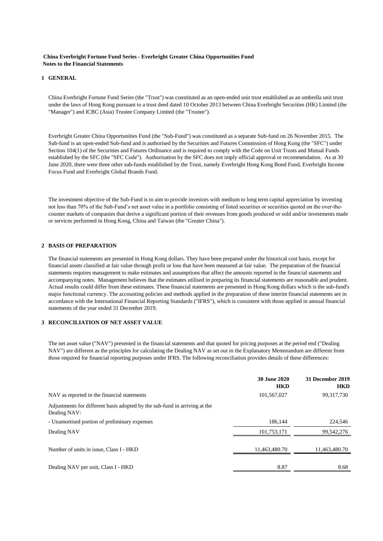#### **China Everbright Fortune Fund Series - Everbright Greater China Opportunities Fund Notes to the Financial Statements**

#### **1 GENERAL**

China Everbright Fortune Fund Series (the "Trust") was constituted as an open-ended unit trust established as an umbrella unit trust under the laws of Hong Kong pursuant to a trust deed dated 10 October 2013 between China Everbright Securities (HK) Limited (the "Manager") and ICBC (Asia) Trustee Company Limited (the "Trustee").

Everbright Greater China Opportunities Fund (the "Sub-Fund") was constituted as a separate Sub-fund on 26 November 2015. The Sub-fund is an open-ended Sub-fund and is authorised by the Securities and Futures Commission of Hong Kong (the "SFC") under Section 104(1) of the Securities and Futures Ordinance and is required to comply with the Code on Unit Trusts and Mutual Funds established by the SFC (the "SFC Code"). Authorisation by the SFC does not imply official approval or recommendation. As at 30 June 2020, there were three other sub-funds established by the Trust, namely Everbright Hong Kong Bond Fund, Everbright Income Focus Fund and Everbright Global Brands Fund.

The investment objective of the Sub-Fund is to aim to provide investors with medium to long term capital appreciation by investing not less than 70% of the Sub-Fund's net asset value in a portfolio consisting of listed securities or securities quoted on the over-thecounter markets of companies that derive a significant portion of their revenues from goods produced or sold and/or investments made or services performed in Hong Kong, China and Taiwan (the "Greater China").

#### **2 BASIS OF PREPARATION**

The financial statements are presented in Hong Kong dollars. They have been prepared under the historical cost basis, except for financial assets classified at fair value through profit or loss that have been measured at fair value. The preparation of the financial statements requires management to make estimates and assumptions that affect the amounts reported in the financial statements and accompanying notes. Management believes that the estimates utilised in preparing its financial statements are reasonable and prudent. Actual results could differ from these estimates. These financial statements are presented in Hong Kong dollars which is the sub-fund's major functional currency. The accounting policies and methods applied in the preparation of these interim financial statements are in accordance with the International Financial Reporting Standards ("IFRS"), which is consistent with those applied in annual financial statements of the year ended 31 December 2019.

#### **3 RECONCILIATION OF NET ASSET VALUE**

The net asset value ("NAV") presented in the financial statements and that quoted for pricing purposes at the period end ("Dealing NAV") are different as the principles for calculating the Dealing NAV as set out in the Explanatory Memorandum are different from those required for financial reporting purposes under IFRS. The following reconciliation provides details of these differences:

|                                                                                            | <b>30 June 2020</b><br><b>HKD</b> | 31 December 2019<br><b>HKD</b> |
|--------------------------------------------------------------------------------------------|-----------------------------------|--------------------------------|
| NAV as reported in the financial statements                                                | 101,567,027                       | 99,317,730                     |
| Adjustments for different basis adopted by the sub-fund in arriving at the<br>Dealing NAV: |                                   |                                |
| - Unamortised portion of preliminary expenses                                              | 186.144                           | 224,546                        |
| Dealing NAV                                                                                | 101.753.171                       | 99,542,276                     |
| Number of units in issue, Class I - HKD                                                    | 11,463,480.70                     | 11,463,480.70                  |
| Dealing NAV per unit, Class I - HKD                                                        | 8.87                              | 8.68                           |